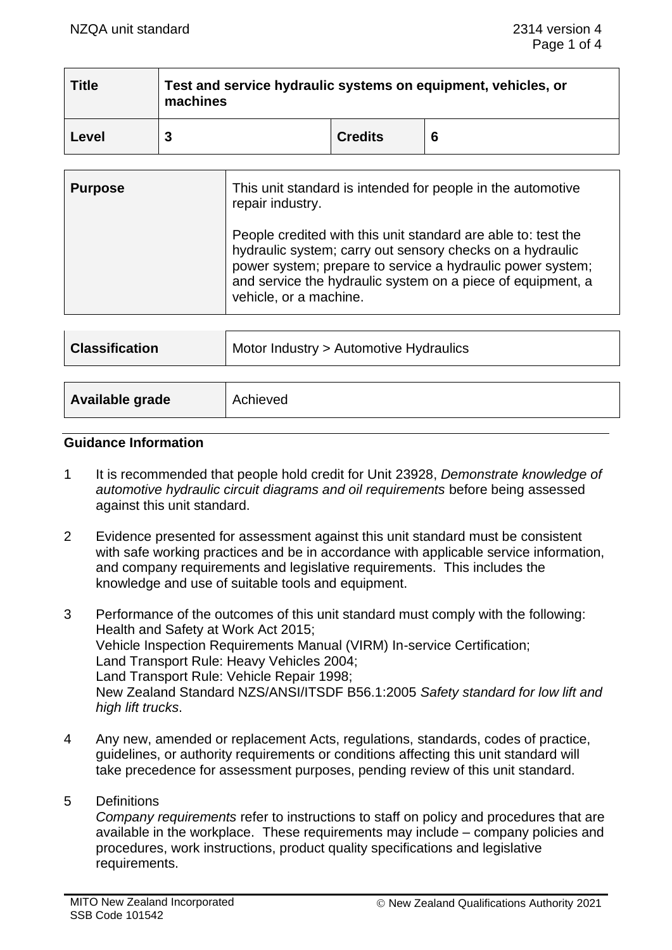| <b>Title</b> | Test and service hydraulic systems on equipment, vehicles, or<br>machines |                |   |
|--------------|---------------------------------------------------------------------------|----------------|---|
| Level        |                                                                           | <b>Credits</b> | 6 |

| <b>Purpose</b> | This unit standard is intended for people in the automotive<br>repair industry.                                                                                                                                                                                                   |  |
|----------------|-----------------------------------------------------------------------------------------------------------------------------------------------------------------------------------------------------------------------------------------------------------------------------------|--|
|                | People credited with this unit standard are able to: test the<br>hydraulic system; carry out sensory checks on a hydraulic<br>power system; prepare to service a hydraulic power system;<br>and service the hydraulic system on a piece of equipment, a<br>vehicle, or a machine. |  |

| <b>Classification</b> | Motor Industry > Automotive Hydraulics |
|-----------------------|----------------------------------------|
|                       |                                        |
| Available grade       | Achieved                               |

# **Guidance Information**

- 1 It is recommended that people hold credit for Unit 23928, *Demonstrate knowledge of automotive hydraulic circuit diagrams and oil requirements* before being assessed against this unit standard.
- 2 Evidence presented for assessment against this unit standard must be consistent with safe working practices and be in accordance with applicable service information, and company requirements and legislative requirements. This includes the knowledge and use of suitable tools and equipment.
- 3 Performance of the outcomes of this unit standard must comply with the following: Health and Safety at Work Act 2015; Vehicle Inspection Requirements Manual (VIRM) In-service Certification; Land Transport Rule: Heavy Vehicles 2004; Land Transport Rule: Vehicle Repair 1998; New Zealand Standard NZS/ANSI/ITSDF B56.1:2005 *Safety standard for low lift and high lift trucks*.
- 4 Any new, amended or replacement Acts, regulations, standards, codes of practice, guidelines, or authority requirements or conditions affecting this unit standard will take precedence for assessment purposes, pending review of this unit standard.
- 5 Definitions

*Company requirements* refer to instructions to staff on policy and procedures that are available in the workplace. These requirements may include – company policies and procedures, work instructions, product quality specifications and legislative requirements.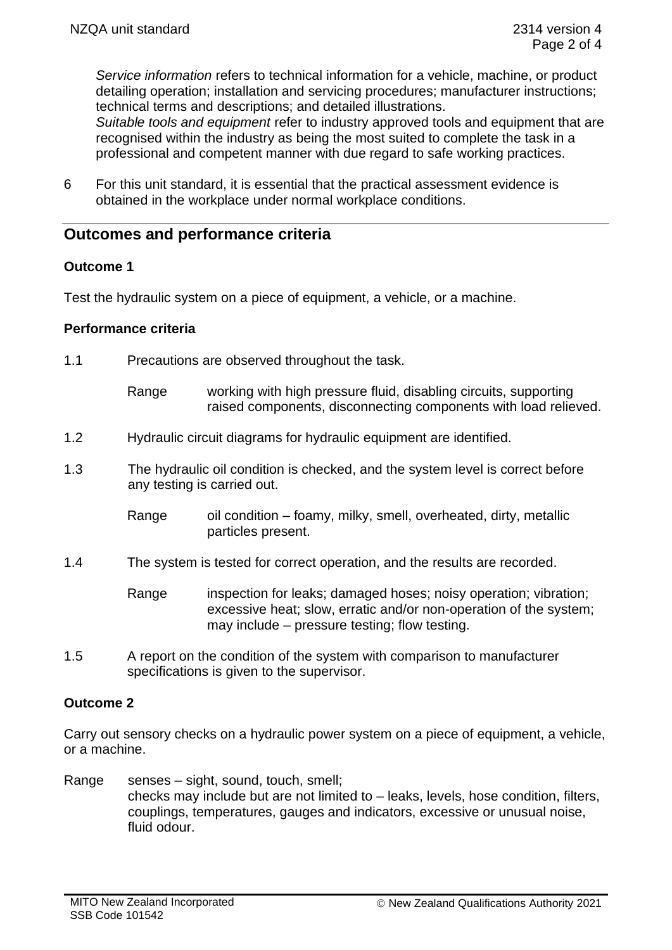*Service information* refers to technical information for a vehicle, machine, or product detailing operation; installation and servicing procedures; manufacturer instructions; technical terms and descriptions; and detailed illustrations.

*Suitable tools and equipment* refer to industry approved tools and equipment that are recognised within the industry as being the most suited to complete the task in a professional and competent manner with due regard to safe working practices.

6 For this unit standard, it is essential that the practical assessment evidence is obtained in the workplace under normal workplace conditions.

# **Outcomes and performance criteria**

# **Outcome 1**

Test the hydraulic system on a piece of equipment, a vehicle, or a machine.

# **Performance criteria**

- 1.1 Precautions are observed throughout the task.
	- Range working with high pressure fluid, disabling circuits, supporting raised components, disconnecting components with load relieved.
- 1.2 Hydraulic circuit diagrams for hydraulic equipment are identified.
- 1.3 The hydraulic oil condition is checked, and the system level is correct before any testing is carried out.
	- Range oil condition foamy, milky, smell, overheated, dirty, metallic particles present.
- 1.4 The system is tested for correct operation, and the results are recorded.

Range inspection for leaks; damaged hoses; noisy operation; vibration; excessive heat; slow, erratic and/or non-operation of the system; may include – pressure testing; flow testing.

1.5 A report on the condition of the system with comparison to manufacturer specifications is given to the supervisor.

# **Outcome 2**

Carry out sensory checks on a hydraulic power system on a piece of equipment, a vehicle, or a machine.

Range senses – sight, sound, touch, smell; checks may include but are not limited to – leaks, levels, hose condition, filters, couplings, temperatures, gauges and indicators, excessive or unusual noise, fluid odour.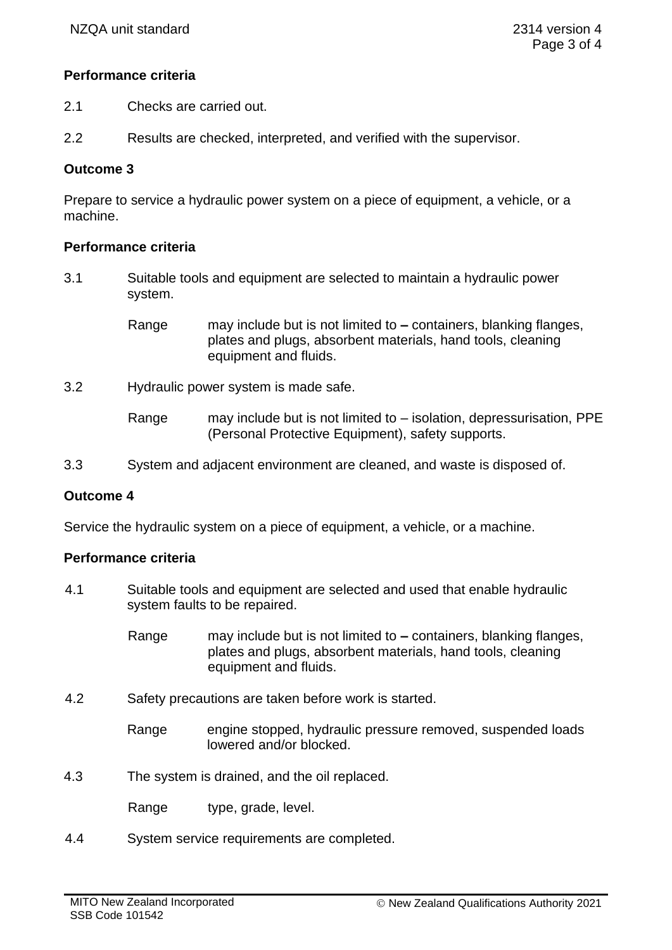### **Performance criteria**

- 2.1 Checks are carried out.
- 2.2 Results are checked, interpreted, and verified with the supervisor.

### **Outcome 3**

Prepare to service a hydraulic power system on a piece of equipment, a vehicle, or a machine.

### **Performance criteria**

3.1 Suitable tools and equipment are selected to maintain a hydraulic power system.

> Range may include but is not limited to **–** containers, blanking flanges, plates and plugs, absorbent materials, hand tools, cleaning equipment and fluids.

3.2 Hydraulic power system is made safe.

Range may include but is not limited to – isolation, depressurisation, PPE (Personal Protective Equipment), safety supports.

3.3 System and adjacent environment are cleaned, and waste is disposed of.

#### **Outcome 4**

Service the hydraulic system on a piece of equipment, a vehicle, or a machine.

#### **Performance criteria**

4.1 Suitable tools and equipment are selected and used that enable hydraulic system faults to be repaired.

> Range may include but is not limited to **–** containers, blanking flanges, plates and plugs, absorbent materials, hand tools, cleaning equipment and fluids.

4.2 Safety precautions are taken before work is started.

Range engine stopped, hydraulic pressure removed, suspended loads lowered and/or blocked.

- 4.3 The system is drained, and the oil replaced.
	- Range type, grade, level.
- 4.4 System service requirements are completed.